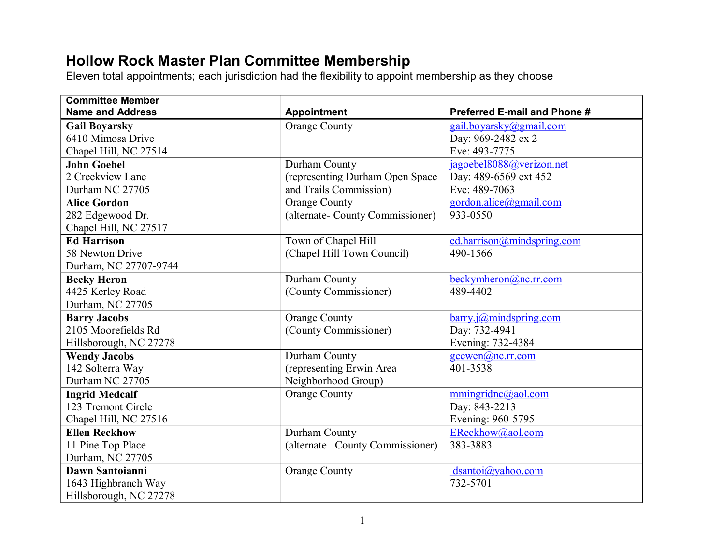## **Hollow Rock Master Plan Committee Membership**

Eleven total appointments; each jurisdiction had the flexibility to appoint membership as they choose

| <b>Committee Member</b> |                                  |                              |
|-------------------------|----------------------------------|------------------------------|
| <b>Name and Address</b> | <b>Appointment</b>               | Preferred E-mail and Phone # |
| <b>Gail Boyarsky</b>    | <b>Orange County</b>             | gail.boyarsky@gmail.com      |
| 6410 Mimosa Drive       |                                  | Day: 969-2482 ex 2           |
| Chapel Hill, NC 27514   |                                  | Eve: 493-7775                |
| <b>John Goebel</b>      | Durham County                    | jagoebel8088@verizon.net     |
| 2 Creekview Lane        | (representing Durham Open Space  | Day: 489-6569 ext 452        |
| Durham NC 27705         | and Trails Commission)           | Eve: 489-7063                |
| <b>Alice Gordon</b>     | <b>Orange County</b>             | gordon.alice@gmail.com       |
| 282 Edgewood Dr.        | (alternate- County Commissioner) | 933-0550                     |
| Chapel Hill, NC 27517   |                                  |                              |
| <b>Ed Harrison</b>      | Town of Chapel Hill              | ed.harrison@mindspring.com   |
| 58 Newton Drive         | (Chapel Hill Town Council)       | 490-1566                     |
| Durham, NC 27707-9744   |                                  |                              |
| <b>Becky Heron</b>      | Durham County                    | beckymheron@nc.rr.com        |
| 4425 Kerley Road        | (County Commissioner)            | 489-4402                     |
| Durham, NC 27705        |                                  |                              |
| <b>Barry Jacobs</b>     | <b>Orange County</b>             | $barry.$ j@mindspring.com    |
| 2105 Moorefields Rd     | (County Commissioner)            | Day: 732-4941                |
| Hillsborough, NC 27278  |                                  | Evening: 732-4384            |
| <b>Wendy Jacobs</b>     | Durham County                    | geewen(a)nc.rr.com           |
| 142 Solterra Way        | (representing Erwin Area         | 401-3538                     |
| Durham NC 27705         | Neighborhood Group)              |                              |
| <b>Ingrid Medcalf</b>   | <b>Orange County</b>             | mmingridnc@aol.com           |
| 123 Tremont Circle      |                                  | Day: 843-2213                |
| Chapel Hill, NC 27516   |                                  | Evening: 960-5795            |
| <b>Ellen Reckhow</b>    | Durham County                    | EReckhow@aol.com             |
| 11 Pine Top Place       | (alternate– County Commissioner) | 383-3883                     |
| Durham, NC 27705        |                                  |                              |
| Dawn Santoianni         | <b>Orange County</b>             | dsantoi@yahoo.com            |
| 1643 Highbranch Way     |                                  | 732-5701                     |
| Hillsborough, NC 27278  |                                  |                              |